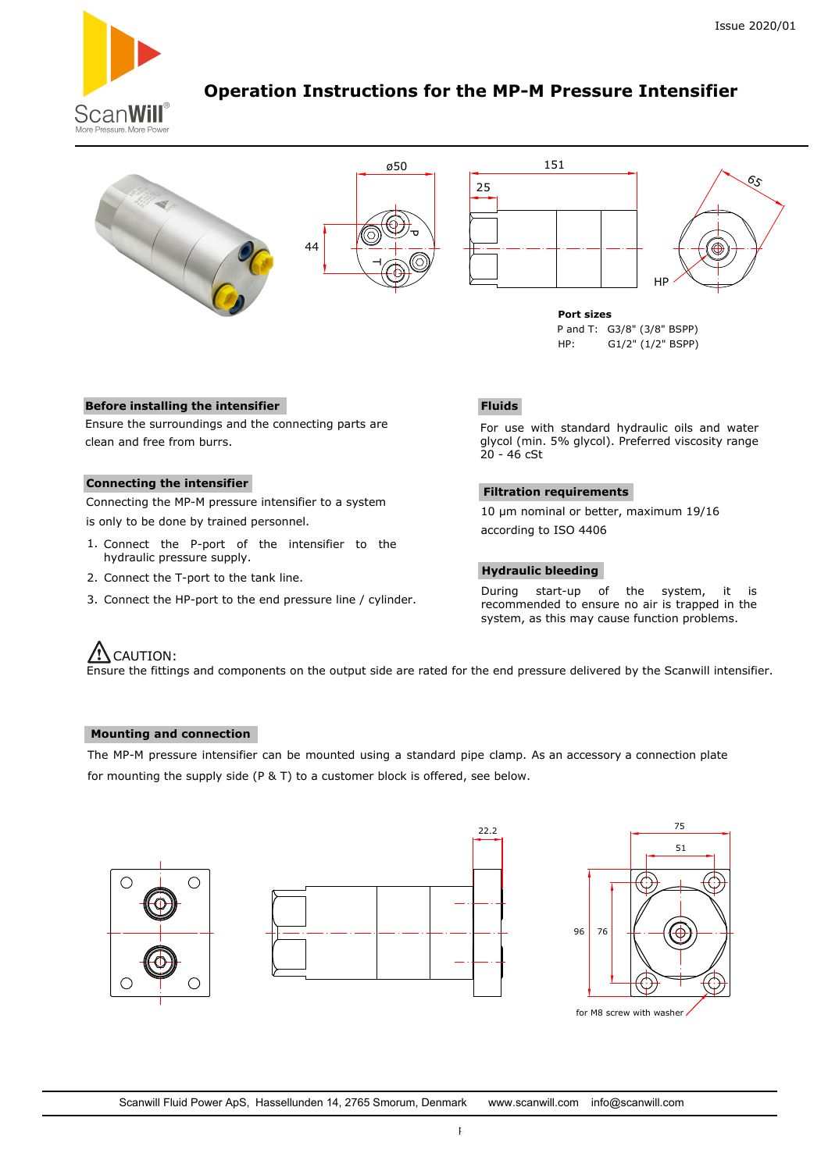

# **Operation Instructions for the MP-M Pressure Intensifier**



P and T: G3/8" (3/8" BSPP) HP: G1/2" (1/2" BSPP)

### **Before installing the intensifier**

Ensure the surroundings and the connecting parts are clean and free from burrs.

### **Connecting the intensifier**

Connecting the MP-M pressure intensifier to a system is only to be done by trained personnel.

- 1. Connect the P-port of the intensifier to the hydraulic pressure supply.
- 2. Connect the T-port to the tank line.
- 3. Connect the HP-port to the end pressure line / cylinder.

## **Fluids**

For use with standard hydraulic oils and water glycol (min. 5% glycol). Preferred viscosity range 20 - 46 cSt

### **Filtration requirements**

10 µm nominal or better, maximum 19/16 according to ISO 4406

### **Hydraulic bleeding**

During start-up of the system, it is recommended to ensure no air is trapped in the system, as this may cause function problems.

## $\overline{\mathcal{L}}$ CAUTION:

Ensure the fittings and components on the output side are rated for the end pressure delivered by the Scanwill intensifier.

## **Mounting and connection**

The MP-M pressure intensifier can be mounted using a standard pipe clamp. As an accessory a connection plate for mounting the supply side (P & T) to a customer block is offered, see below.